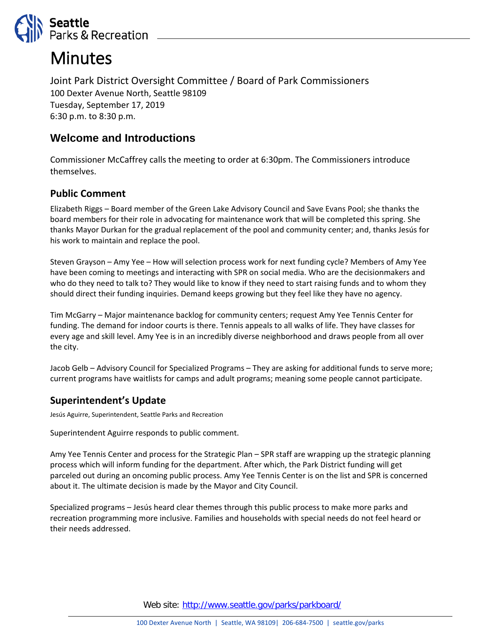

# **Minutes**

Joint Park District Oversight Committee / Board of Park Commissioners 100 Dexter Avenue North, Seattle 98109 Tuesday, September 17, 2019 6:30 p.m. to 8:30 p.m.

## **Welcome and Introductions**

Commissioner McCaffrey calls the meeting to order at 6:30pm. The Commissioners introduce themselves.

### **Public Comment**

Elizabeth Riggs – Board member of the Green Lake Advisory Council and Save Evans Pool; she thanks the board members for their role in advocating for maintenance work that will be completed this spring. She thanks Mayor Durkan for the gradual replacement of the pool and community center; and, thanks Jesús for his work to maintain and replace the pool.

Steven Grayson – Amy Yee – How will selection process work for next funding cycle? Members of Amy Yee have been coming to meetings and interacting with SPR on social media. Who are the decisionmakers and who do they need to talk to? They would like to know if they need to start raising funds and to whom they should direct their funding inquiries. Demand keeps growing but they feel like they have no agency.

Tim McGarry – Major maintenance backlog for community centers; request Amy Yee Tennis Center for funding. The demand for indoor courts is there. Tennis appeals to all walks of life. They have classes for every age and skill level. Amy Yee is in an incredibly diverse neighborhood and draws people from all over the city.

Jacob Gelb – Advisory Council for Specialized Programs – They are asking for additional funds to serve more; current programs have waitlists for camps and adult programs; meaning some people cannot participate.

## **Superintendent's Update**

Jesús Aguirre, Superintendent, Seattle Parks and Recreation

Superintendent Aguirre responds to public comment.

Amy Yee Tennis Center and process for the Strategic Plan – SPR staff are wrapping up the strategic planning process which will inform funding for the department. After which, the Park District funding will get parceled out during an oncoming public process. Amy Yee Tennis Center is on the list and SPR is concerned about it. The ultimate decision is made by the Mayor and City Council.

Specialized programs – Jesús heard clear themes through this public process to make more parks and recreation programming more inclusive. Families and households with special needs do not feel heard or their needs addressed.

Web site: <http://www.seattle.gov/parks/parkboard/>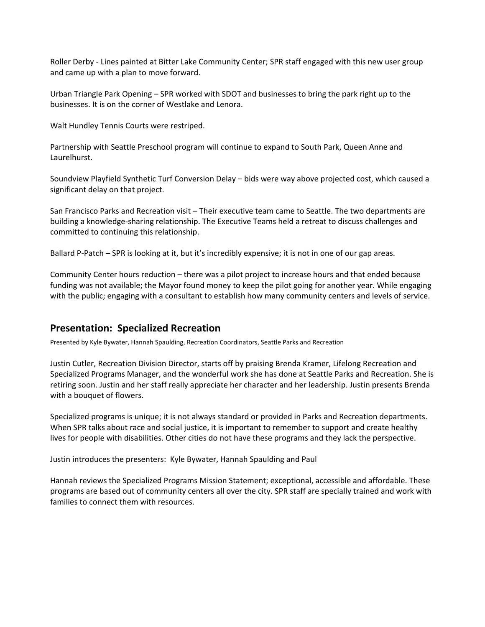Roller Derby - Lines painted at Bitter Lake Community Center; SPR staff engaged with this new user group and came up with a plan to move forward.

Urban Triangle Park Opening – SPR worked with SDOT and businesses to bring the park right up to the businesses. It is on the corner of Westlake and Lenora.

Walt Hundley Tennis Courts were restriped.

Partnership with Seattle Preschool program will continue to expand to South Park, Queen Anne and Laurelhurst.

Soundview Playfield Synthetic Turf Conversion Delay – bids were way above projected cost, which caused a significant delay on that project.

San Francisco Parks and Recreation visit – Their executive team came to Seattle. The two departments are building a knowledge-sharing relationship. The Executive Teams held a retreat to discuss challenges and committed to continuing this relationship.

Ballard P-Patch – SPR is looking at it, but it's incredibly expensive; it is not in one of our gap areas.

Community Center hours reduction – there was a pilot project to increase hours and that ended because funding was not available; the Mayor found money to keep the pilot going for another year. While engaging with the public; engaging with a consultant to establish how many community centers and levels of service.

#### **Presentation: Specialized Recreation**

Presented by Kyle Bywater, Hannah Spaulding, Recreation Coordinators, Seattle Parks and Recreation

Justin Cutler, Recreation Division Director, starts off by praising Brenda Kramer, Lifelong Recreation and Specialized Programs Manager, and the wonderful work she has done at Seattle Parks and Recreation. She is retiring soon. Justin and her staff really appreciate her character and her leadership. Justin presents Brenda with a bouquet of flowers.

Specialized programs is unique; it is not always standard or provided in Parks and Recreation departments. When SPR talks about race and social justice, it is important to remember to support and create healthy lives for people with disabilities. Other cities do not have these programs and they lack the perspective.

Justin introduces the presenters: Kyle Bywater, Hannah Spaulding and Paul

Hannah reviews the Specialized Programs Mission Statement; exceptional, accessible and affordable. These programs are based out of community centers all over the city. SPR staff are specially trained and work with families to connect them with resources.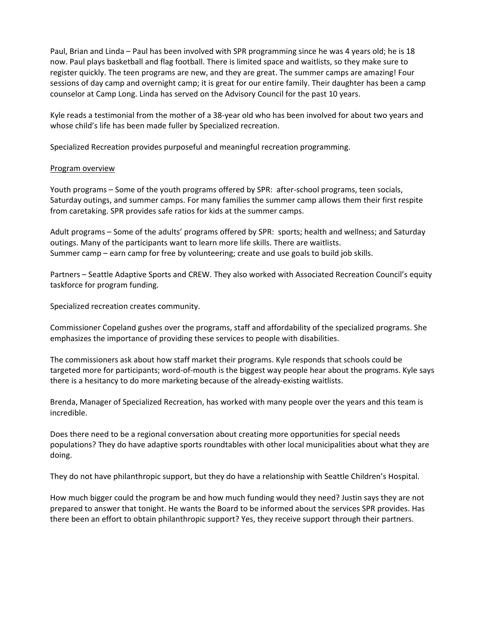Paul, Brian and Linda – Paul has been involved with SPR programming since he was 4 years old; he is 18 now. Paul plays basketball and flag football. There is limited space and waitlists, so they make sure to register quickly. The teen programs are new, and they are great. The summer camps are amazing! Four sessions of day camp and overnight camp; it is great for our entire family. Their daughter has been a camp counselor at Camp Long. Linda has served on the Advisory Council for the past 10 years.

Kyle reads a testimonial from the mother of a 38-year old who has been involved for about two years and whose child's life has been made fuller by Specialized recreation.

Specialized Recreation provides purposeful and meaningful recreation programming.

#### Program overview

Youth programs – Some of the youth programs offered by SPR: after-school programs, teen socials, Saturday outings, and summer camps. For many families the summer camp allows them their first respite from caretaking. SPR provides safe ratios for kids at the summer camps.

Adult programs – Some of the adults' programs offered by SPR: sports; health and wellness; and Saturday outings. Many of the participants want to learn more life skills. There are waitlists. Summer camp – earn camp for free by volunteering; create and use goals to build job skills.

Partners – Seattle Adaptive Sports and CREW. They also worked with Associated Recreation Council's equity taskforce for program funding.

Specialized recreation creates community.

Commissioner Copeland gushes over the programs, staff and affordability of the specialized programs. She emphasizes the importance of providing these services to people with disabilities.

The commissioners ask about how staff market their programs. Kyle responds that schools could be targeted more for participants; word-of-mouth is the biggest way people hear about the programs. Kyle says there is a hesitancy to do more marketing because of the already-existing waitlists.

Brenda, Manager of Specialized Recreation, has worked with many people over the years and this team is incredible.

Does there need to be a regional conversation about creating more opportunities for special needs populations? They do have adaptive sports roundtables with other local municipalities about what they are doing.

They do not have philanthropic support, but they do have a relationship with Seattle Children's Hospital.

How much bigger could the program be and how much funding would they need? Justin says they are not prepared to answer that tonight. He wants the Board to be informed about the services SPR provides. Has there been an effort to obtain philanthropic support? Yes, they receive support through their partners.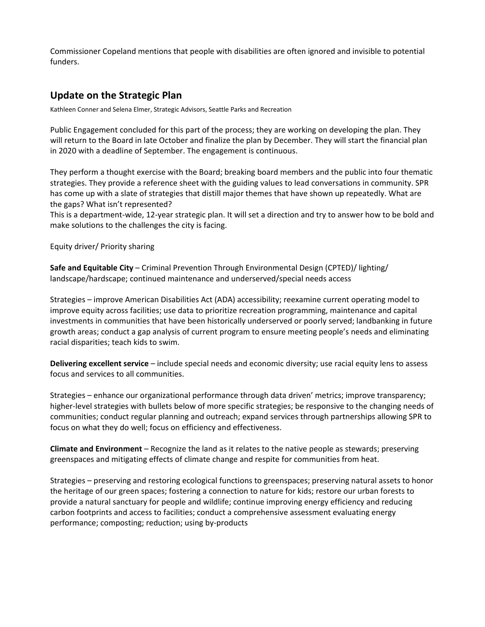Commissioner Copeland mentions that people with disabilities are often ignored and invisible to potential funders.

#### **Update on the Strategic Plan**

Kathleen Conner and Selena Elmer, Strategic Advisors, Seattle Parks and Recreation

Public Engagement concluded for this part of the process; they are working on developing the plan. They will return to the Board in late October and finalize the plan by December. They will start the financial plan in 2020 with a deadline of September. The engagement is continuous.

They perform a thought exercise with the Board; breaking board members and the public into four thematic strategies. They provide a reference sheet with the guiding values to lead conversations in community. SPR has come up with a slate of strategies that distill major themes that have shown up repeatedly. What are the gaps? What isn't represented?

This is a department-wide, 12-year strategic plan. It will set a direction and try to answer how to be bold and make solutions to the challenges the city is facing.

Equity driver/ Priority sharing

**Safe and Equitable City** – Criminal Prevention Through Environmental Design (CPTED)/ lighting/ landscape/hardscape; continued maintenance and underserved/special needs access

Strategies – improve American Disabilities Act (ADA) accessibility; reexamine current operating model to improve equity across facilities; use data to prioritize recreation programming, maintenance and capital investments in communities that have been historically underserved or poorly served; landbanking in future growth areas; conduct a gap analysis of current program to ensure meeting people's needs and eliminating racial disparities; teach kids to swim.

**Delivering excellent service** – include special needs and economic diversity; use racial equity lens to assess focus and services to all communities.

Strategies – enhance our organizational performance through data driven' metrics; improve transparency; higher-level strategies with bullets below of more specific strategies; be responsive to the changing needs of communities; conduct regular planning and outreach; expand services through partnerships allowing SPR to focus on what they do well; focus on efficiency and effectiveness.

**Climate and Environment** – Recognize the land as it relates to the native people as stewards; preserving greenspaces and mitigating effects of climate change and respite for communities from heat.

Strategies – preserving and restoring ecological functions to greenspaces; preserving natural assets to honor the heritage of our green spaces; fostering a connection to nature for kids; restore our urban forests to provide a natural sanctuary for people and wildlife; continue improving energy efficiency and reducing carbon footprints and access to facilities; conduct a comprehensive assessment evaluating energy performance; composting; reduction; using by-products